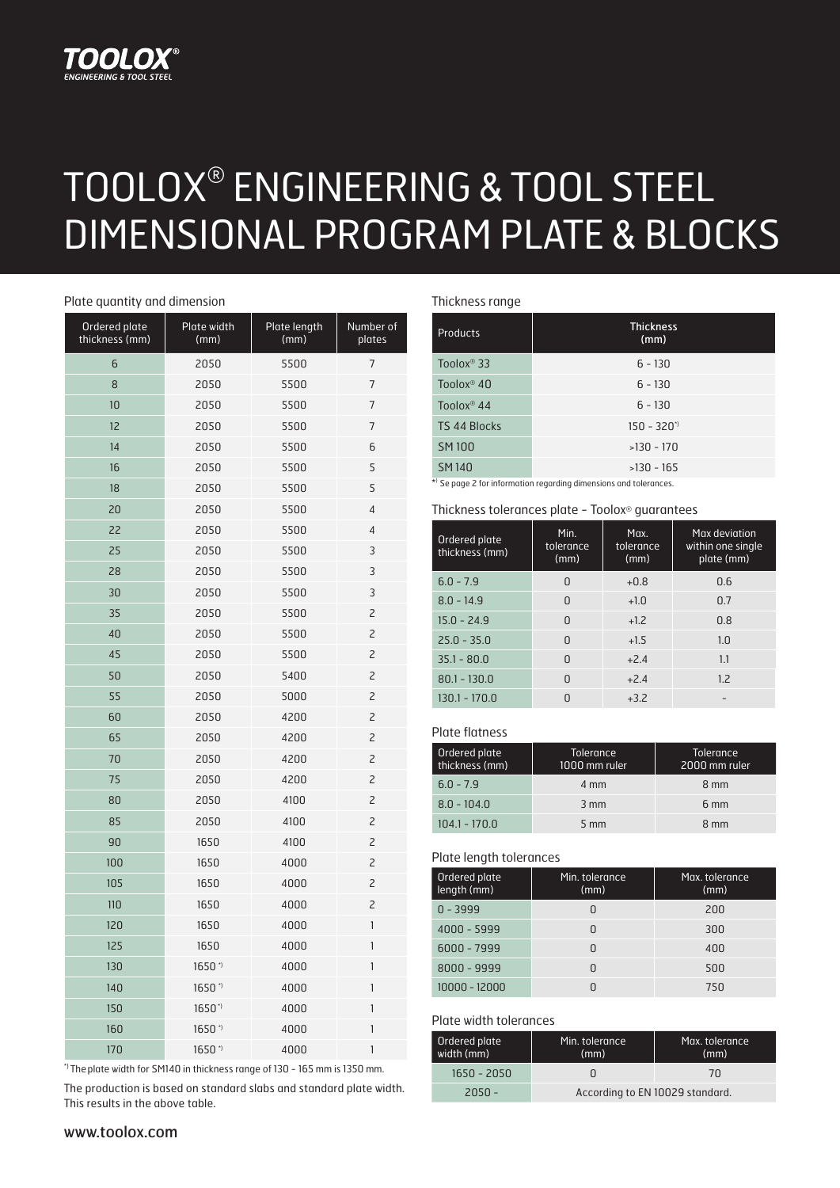# TOOLO

# TOOLOX® ENGINEERING & TOOL STEEL DIMENSIONAL PROGRAM PLATE & BLOCKS

#### Plate quantity and dimension

| Ordered plate<br>thickness (mm) | Plate width<br>(mm) | Plate length<br>(mm) | Number of<br>plates                   |  |  |
|---------------------------------|---------------------|----------------------|---------------------------------------|--|--|
| 6                               | 2050                | 5500                 | 7                                     |  |  |
| 8                               | 2050                | 5500                 |                                       |  |  |
| 10                              | 2050                | 5500                 | $\overline{7}$                        |  |  |
| 12                              | 2050                | 5500                 | $\overline{7}$                        |  |  |
| 14                              | 2050                | 5500                 | 6                                     |  |  |
| 16                              | 2050                | 5500                 | 5                                     |  |  |
| 18                              | 2050                | 5500                 | 5                                     |  |  |
| 20                              | 2050                | 5500                 | $\overline{4}$                        |  |  |
| 22                              | 2050                | 5500                 | 4                                     |  |  |
| 25                              | 2050                | 5500                 | 3                                     |  |  |
| 28                              | 2050                | 5500                 | 3                                     |  |  |
| 30                              | 2050                | 5500                 | 3                                     |  |  |
| 35                              | 2050                | 5500                 | $\overline{c}$                        |  |  |
| 40                              | 2050                | 5500                 | $\overline{c}$                        |  |  |
| 45                              | 2050                | 5500                 | $\overline{c}$                        |  |  |
| 50                              | 2050                | 5400                 | $\overline{c}$                        |  |  |
| 55                              | 2050                | 5000                 | $\overline{c}$                        |  |  |
| 60                              | 2050                | 4200                 | $\overline{c}$                        |  |  |
| 65                              | 2050                | 4200                 |                                       |  |  |
| 70                              | 2050                | 4200                 | 2                                     |  |  |
| 75                              | 2050                | 4200                 | $\overline{c}$                        |  |  |
| 80                              | 2050                | 4100                 | $\overline{c}$                        |  |  |
| 85                              | 2050                | 4100                 | $\overline{c}$                        |  |  |
| 90                              | 1650                | 4100                 | $\overline{c}$                        |  |  |
| 100                             | 1650                | 4000                 | $\overline{c}$                        |  |  |
| 105                             | 1650                | 4000                 | $\overline{c}$                        |  |  |
| 110                             | 1650                | 4000                 | $\overline{c}$                        |  |  |
| 120                             | 1650                | 4000                 | $\mathbf{1}$                          |  |  |
| 125                             | 1650                | 4000                 | 1                                     |  |  |
| 130                             | 1650*               | 4000                 | 1                                     |  |  |
| 140                             | 1650*               | 4000                 | 1                                     |  |  |
| 150                             | 1650*               | 4000                 | 1                                     |  |  |
| 160                             | 1650*               | 4000                 | $\begin{array}{c} \hline \end{array}$ |  |  |
| 170                             | 1650*               | 4000                 | 1                                     |  |  |

\*) Theplate width for SM140 in thickness range of 130 - 165 mm is 1350 mm.

The production is based on standard slabs and standard plate width. This results in the above table.

### Thickness range

| $\tilde{\phantom{a}}$  |                          |
|------------------------|--------------------------|
| <b>Products</b>        | <b>Thickness</b><br>(mm) |
| Toolox <sup>®</sup> 33 | $6 - 130$                |
| Toolox <sup>®</sup> 40 | $6 - 130$                |
| Toolox <sup>®</sup> 44 | $6 - 130$                |
| <b>TS 44 Blocks</b>    | $150 - 320$ <sup>*</sup> |
| <b>SM100</b>           | $>130 - 170$             |
| <b>SM140</b>           | $>130 - 165$             |
|                        |                          |

\*) Se page 2 for information regarding dimensions and tolerances.

#### Thickness tolerances plate - Toolox® guarantees

| Ordered plate<br>thickness (mm) | Min.<br>tolerance<br>(mm) | Max.<br>tolerance<br>(mm) | Max deviation<br>within one single<br>plate (mm) |  |  |  |
|---------------------------------|---------------------------|---------------------------|--------------------------------------------------|--|--|--|
| $6.0 - 7.9$                     | n                         | $+0.8$                    | 0.6                                              |  |  |  |
| $8.0 - 14.9$                    | U                         | $+1.0$                    | 0.7                                              |  |  |  |
| $15.0 - 24.9$                   | U                         | $+1.2$                    | 0.8                                              |  |  |  |
| $25.0 - 35.0$                   | U                         | $+1.5$                    | 1.0                                              |  |  |  |
| $35.1 - 80.0$                   | U                         | $+24$                     | 1.1                                              |  |  |  |
| $80.1 - 130.0$                  | U                         | $+2.4$                    | 1.2                                              |  |  |  |
| $130.1 - 170.0$                 |                           | $+3.2$                    |                                                  |  |  |  |

Plate flatness

| Ordered plate<br>thickness (mm) | <b>Tolerance</b><br>1000 mm ruler | <b>Tolerance</b><br>2000 mm ruler |
|---------------------------------|-----------------------------------|-----------------------------------|
| $6.0 - 7.9$                     | 4 mm                              | 8 mm                              |
| $8.0 - 104.0$                   | $3 \, \text{mm}$                  | 6 mm                              |
| $104.1 - 170.0$                 | $5 \, \text{mm}$                  | 8 mm                              |

## Plate length tolerances

| Ordered plate<br>length (mm) | Min. tolerance<br>(mm) | Max. tolerance<br>(mm) |
|------------------------------|------------------------|------------------------|
| $0 - 3999$                   |                        | 200                    |
| $4000 - 5999$                |                        | 300                    |
| $6000 - 7999$                |                        | 400                    |
| $8000 - 9999$                |                        | 500                    |
| 10000 - 12000                |                        | 750                    |

#### Plate width tolerances

| Ordered plate<br>width (mm) | Min. tolerance<br>(mm)          | Max. tolerance'<br>(mm) |  |  |  |  |
|-----------------------------|---------------------------------|-------------------------|--|--|--|--|
| $1650 - 2050$               |                                 | 70                      |  |  |  |  |
| $2050 -$                    | According to EN 10029 standard. |                         |  |  |  |  |